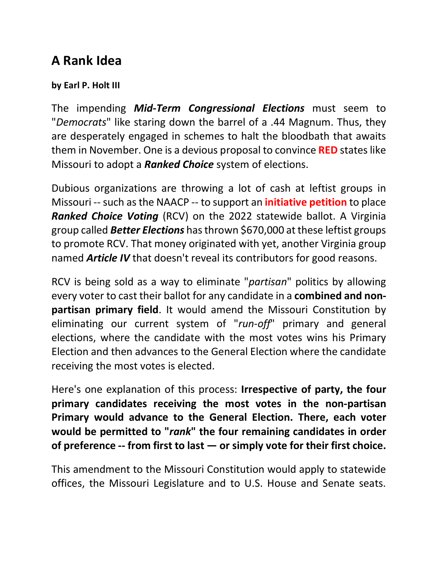## **A Rank Idea**

## **by Earl P. Holt III**

The impending *Mid-Term Congressional Elections* must seem to "*Democrats*" like staring down the barrel of a .44 Magnum. Thus, they are desperately engaged in schemes to halt the bloodbath that awaits them in November. One is a devious proposal to convince **RED** states like Missouri to adopt a *Ranked Choice* system of elections.

Dubious organizations are throwing a lot of cash at leftist groups in Missouri -- such as the NAACP -- to support an **initiative petition** to place *Ranked Choice Voting* (RCV) on the 2022 statewide ballot. A Virginia group called *Better Elections* has thrown \$670,000 at these leftist groups to promote RCV. That money originated with yet, another Virginia group named *Article IV* that doesn't reveal its contributors for good reasons.

RCV is being sold as a way to eliminate "*partisan*" politics by allowing every voter to cast their ballot for any candidate in a **combined and nonpartisan primary field**. It would amend the Missouri Constitution by eliminating our current system of "*run-off*" primary and general elections, where the candidate with the most votes wins his Primary Election and then advances to the General Election where the candidate receiving the most votes is elected.

Here's one explanation of this process: **Irrespective of party, the four primary candidates receiving the most votes in the non-partisan Primary would advance to the General Election. There, each voter would be permitted to "***rank***" the four remaining candidates in order of preference -- from first to last — or simply vote for their first choice.**

This amendment to the Missouri Constitution would apply to statewide offices, the Missouri Legislature and to U.S. House and Senate seats.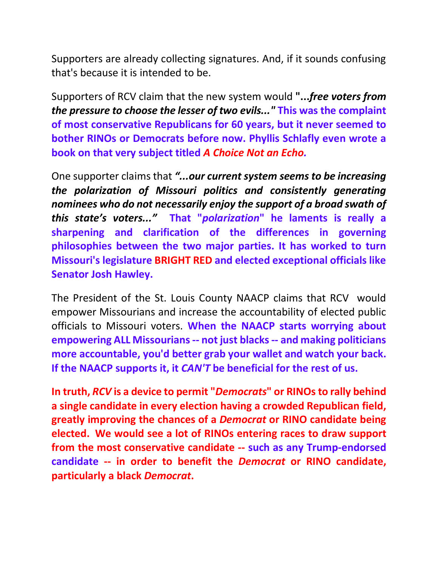Supporters are already collecting signatures. And, if it sounds confusing that's because it is intended to be.

Supporters of RCV claim that the new system would **"...***free voters from the pressure to choose the lesser of two evils..."* **This was the complaint of most conservative Republicans for 60 years, but it never seemed to bother RINOs or Democrats before now. Phyllis Schlafly even wrote a book on that very subject titled** *A Choice Not an Echo.*

One supporter claims that *"...our current system seems to be increasing the polarization of Missouri politics and consistently generating nominees who do not necessarily enjoy the support of a broad swath of this state's voters..."* **That "***polarization***" he laments is really a sharpening and clarification of the differences in governing philosophies between the two major parties. It has worked to turn Missouri's legislature BRIGHT RED and elected exceptional officials like Senator Josh Hawley.**

The President of the St. Louis County NAACP claims that RCV would empower Missourians and increase the accountability of elected public officials to Missouri voters. **When the NAACP starts worrying about empowering ALL Missourians -- not just blacks -- and making politicians more accountable, you'd better grab your wallet and watch your back. If the NAACP supports it, it** *CAN'T* **be beneficial for the rest of us.** 

**In truth,** *RCV* **is a device to permit "***Democrats***" or RINOs to rally behind a single candidate in every election having a crowded Republican field, greatly improving the chances of a** *Democrat* **or RINO candidate being elected. We would see a lot of RINOs entering races to draw support from the most conservative candidate -- such as any Trump-endorsed candidate -- in order to benefit the** *Democrat* **or RINO candidate, particularly a black** *Democrat***.**